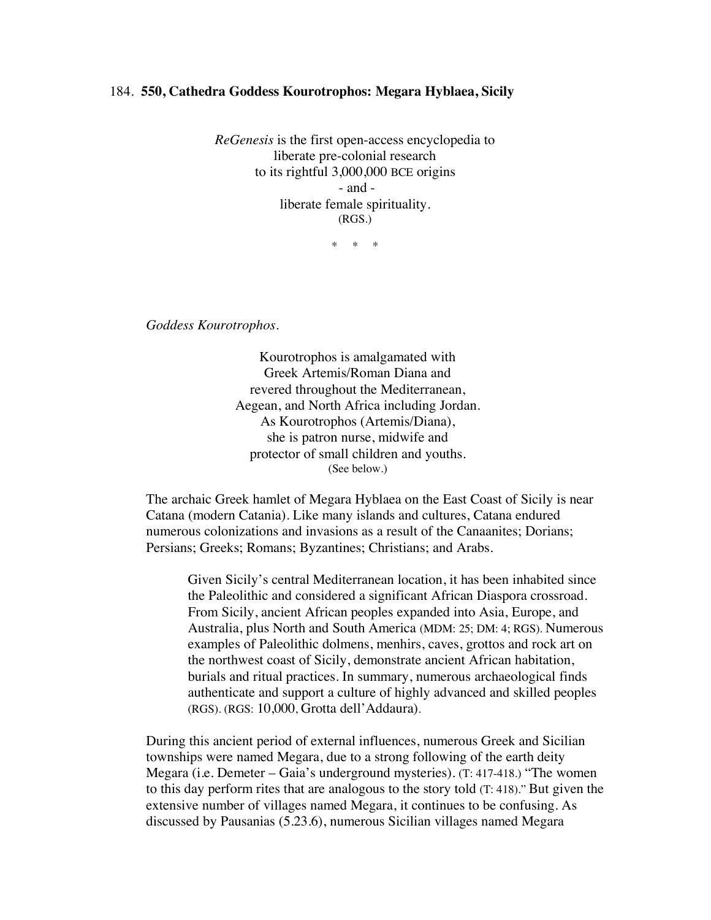## 184. **550, Cathedra Goddess Kourotrophos: Megara Hyblaea, Sicily**

*ReGenesis* is the first open-access encyclopedia to liberate pre-colonial research to its rightful 3,000,000 BCE origins - and liberate female spirituality. (RGS.)

\* \* \*

*Goddess Kourotrophos.*

Kourotrophos is amalgamated with Greek Artemis/Roman Diana and revered throughout the Mediterranean, Aegean, and North Africa including Jordan. As Kourotrophos (Artemis/Diana), she is patron nurse, midwife and protector of small children and youths. (See below.)

The archaic Greek hamlet of Megara Hyblaea on the East Coast of Sicily is near Catana (modern Catania). Like many islands and cultures, Catana endured numerous colonizations and invasions as a result of the Canaanites; Dorians; Persians; Greeks; Romans; Byzantines; Christians; and Arabs.

Given Sicily's central Mediterranean location, it has been inhabited since the Paleolithic and considered a significant African Diaspora crossroad. From Sicily, ancient African peoples expanded into Asia, Europe, and Australia, plus North and South America (MDM: 25; DM: 4; RGS). Numerous examples of Paleolithic dolmens, menhirs, caves, grottos and rock art on the northwest coast of Sicily, demonstrate ancient African habitation, burials and ritual practices. In summary, numerous archaeological finds authenticate and support a culture of highly advanced and skilled peoples (RGS). (RGS: 10,000, Grotta dell'Addaura).

During this ancient period of external influences, numerous Greek and Sicilian townships were named Megara, due to a strong following of the earth deity Megara (i.e. Demeter – Gaia's underground mysteries). (T: 417-418.) "The women to this day perform rites that are analogous to the story told (T: 418)." But given the extensive number of villages named Megara, it continues to be confusing. As discussed by Pausanias (5.23.6), numerous Sicilian villages named Megara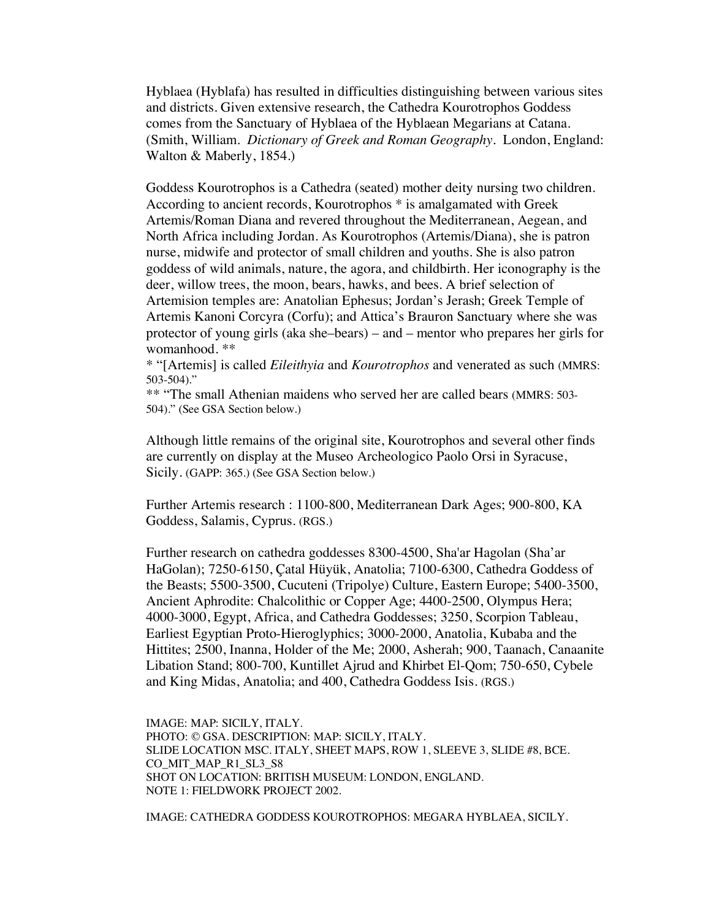Hyblaea (Hyblafa) has resulted in difficulties distinguishing between various sites and districts. Given extensive research, the Cathedra Kourotrophos Goddess comes from the Sanctuary of Hyblaea of the Hyblaean Megarians at Catana. (Smith, William. *Dictionary of Greek and Roman Geography*. London, England: Walton & Maberly, 1854.)

Goddess Kourotrophos is a Cathedra (seated) mother deity nursing two children. According to ancient records, Kourotrophos \* is amalgamated with Greek Artemis/Roman Diana and revered throughout the Mediterranean, Aegean, and North Africa including Jordan. As Kourotrophos (Artemis/Diana), she is patron nurse, midwife and protector of small children and youths. She is also patron goddess of wild animals, nature, the agora, and childbirth. Her iconography is the deer, willow trees, the moon, bears, hawks, and bees. A brief selection of Artemision temples are: Anatolian Ephesus; Jordan's Jerash; Greek Temple of Artemis Kanoni Corcyra (Corfu); and Attica's Brauron Sanctuary where she was protector of young girls (aka she–bears) – and – mentor who prepares her girls for womanhood. \*\*

\* "[Artemis] is called *Eileithyia* and *Kourotrophos* and venerated as such (MMRS: 503-504)."

\*\* "The small Athenian maidens who served her are called bears (MMRS: 503- 504)." (See GSA Section below.)

Although little remains of the original site, Kourotrophos and several other finds are currently on display at the Museo Archeologico Paolo Orsi in Syracuse, Sicily. (GAPP: 365.) (See GSA Section below.)

Further Artemis research : 1100-800, Mediterranean Dark Ages; 900-800, KA Goddess, Salamis, Cyprus. (RGS.)

Further research on cathedra goddesses 8300-4500, Sha'ar Hagolan (Sha'ar HaGolan); 7250-6150, Çatal Hüyük, Anatolia; 7100-6300, Cathedra Goddess of the Beasts; 5500-3500, Cucuteni (Tripolye) Culture, Eastern Europe; 5400-3500, Ancient Aphrodite: Chalcolithic or Copper Age; 4400-2500, Olympus Hera; 4000-3000, Egypt, Africa, and Cathedra Goddesses; 3250, Scorpion Tableau, Earliest Egyptian Proto-Hieroglyphics; 3000-2000, Anatolia, Kubaba and the Hittites; 2500, Inanna, Holder of the Me; 2000, Asherah; 900, Taanach, Canaanite Libation Stand; 800-700, Kuntillet Ajrud and Khirbet El-Qom; 750-650, Cybele and King Midas, Anatolia; and 400, Cathedra Goddess Isis. (RGS.)

IMAGE: MAP: SICILY, ITALY. PHOTO: © GSA. DESCRIPTION: MAP: SICILY, ITALY. SLIDE LOCATION MSC. ITALY, SHEET MAPS, ROW 1, SLEEVE 3, SLIDE #8, BCE. CO\_MIT\_MAP\_R1\_SL3\_S8 SHOT ON LOCATION: BRITISH MUSEUM: LONDON, ENGLAND. NOTE 1: FIELDWORK PROJECT 2002.

IMAGE: CATHEDRA GODDESS KOUROTROPHOS: MEGARA HYBLAEA, SICILY.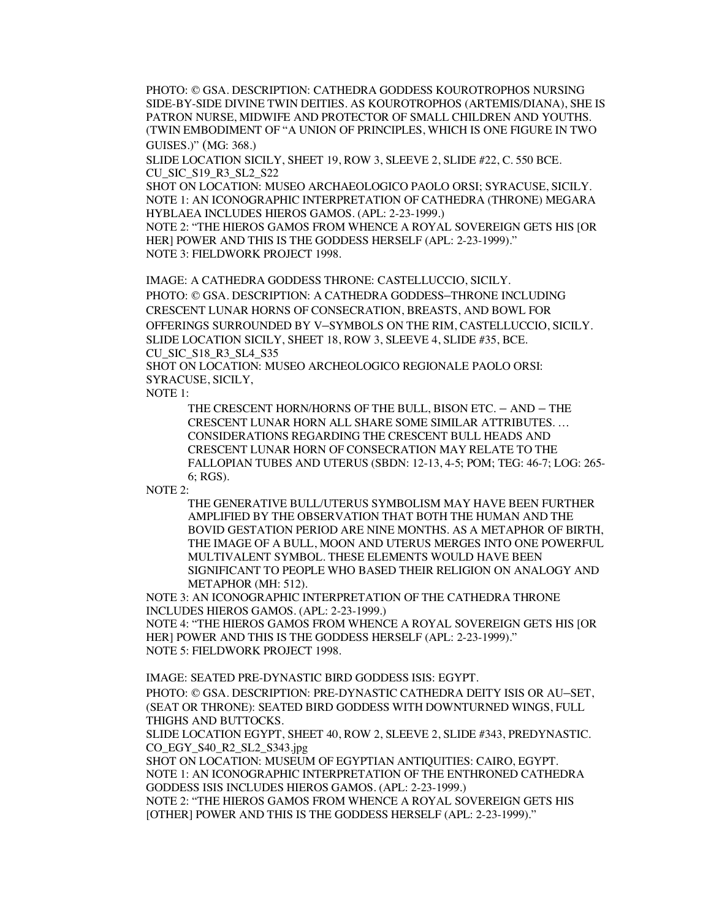PHOTO: © GSA. DESCRIPTION: CATHEDRA GODDESS KOUROTROPHOS NURSING SIDE-BY-SIDE DIVINE TWIN DEITIES. AS KOUROTROPHOS (ARTEMIS/DIANA), SHE IS PATRON NURSE, MIDWIFE AND PROTECTOR OF SMALL CHILDREN AND YOUTHS. (TWIN EMBODIMENT OF "A UNION OF PRINCIPLES, WHICH IS ONE FIGURE IN TWO GUISES.)" (MG: 368.)

SLIDE LOCATION SICILY, SHEET 19, ROW 3, SLEEVE 2, SLIDE #22, C. 550 BCE. CU\_SIC\_S19\_R3\_SL2\_S22

SHOT ON LOCATION: MUSEO ARCHAEOLOGICO PAOLO ORSI; SYRACUSE, SICILY. NOTE 1: AN ICONOGRAPHIC INTERPRETATION OF CATHEDRA (THRONE) MEGARA HYBLAEA INCLUDES HIEROS GAMOS. (APL: 2-23-1999.)

NOTE 2: "THE HIEROS GAMOS FROM WHENCE A ROYAL SOVEREIGN GETS HIS [OR HER] POWER AND THIS IS THE GODDESS HERSELF (APL: 2-23-1999)." NOTE 3: FIELDWORK PROJECT 1998.

IMAGE: A CATHEDRA GODDESS THRONE: CASTELLUCCIO, SICILY. PHOTO: © GSA. DESCRIPTION: A CATHEDRA GODDESS–THRONE INCLUDING CRESCENT LUNAR HORNS OF CONSECRATION, BREASTS, AND BOWL FOR OFFERINGS SURROUNDED BY V–SYMBOLS ON THE RIM, CASTELLUCCIO, SICILY. SLIDE LOCATION SICILY, SHEET 18, ROW 3, SLEEVE 4, SLIDE #35, BCE. CU\_SIC\_S18\_R3\_SL4\_S35

SHOT ON LOCATION: MUSEO ARCHEOLOGICO REGIONALE PAOLO ORSI: SYRACUSE, SICILY,

NOTE 1:

THE CRESCENT HORN/HORNS OF THE BULL, BISON ETC. – AND – THE CRESCENT LUNAR HORN ALL SHARE SOME SIMILAR ATTRIBUTES. … CONSIDERATIONS REGARDING THE CRESCENT BULL HEADS AND CRESCENT LUNAR HORN OF CONSECRATION MAY RELATE TO THE FALLOPIAN TUBES AND UTERUS (SBDN: 12-13, 4-5; POM; TEG: 46-7; LOG: 265- 6; RGS).

NOTE 2:

THE GENERATIVE BULL/UTERUS SYMBOLISM MAY HAVE BEEN FURTHER AMPLIFIED BY THE OBSERVATION THAT BOTH THE HUMAN AND THE BOVID GESTATION PERIOD ARE NINE MONTHS. AS A METAPHOR OF BIRTH, THE IMAGE OF A BULL, MOON AND UTERUS MERGES INTO ONE POWERFUL MULTIVALENT SYMBOL. THESE ELEMENTS WOULD HAVE BEEN SIGNIFICANT TO PEOPLE WHO BASED THEIR RELIGION ON ANALOGY AND METAPHOR (MH: 512).

NOTE 3: AN ICONOGRAPHIC INTERPRETATION OF THE CATHEDRA THRONE INCLUDES HIEROS GAMOS. (APL: 2-23-1999.)

NOTE 4: "THE HIEROS GAMOS FROM WHENCE A ROYAL SOVEREIGN GETS HIS [OR HER] POWER AND THIS IS THE GODDESS HERSELF (APL: 2-23-1999)." NOTE 5: FIELDWORK PROJECT 1998.

IMAGE: SEATED PRE-DYNASTIC BIRD GODDESS ISIS: EGYPT.

PHOTO: © GSA. DESCRIPTION: PRE-DYNASTIC CATHEDRA DEITY ISIS OR AU–SET, (SEAT OR THRONE): SEATED BIRD GODDESS WITH DOWNTURNED WINGS, FULL THIGHS AND BUTTOCKS.

SLIDE LOCATION EGYPT, SHEET 40, ROW 2, SLEEVE 2, SLIDE #343, PREDYNASTIC. CO\_EGY\_S40\_R2\_SL2\_S343.jpg

SHOT ON LOCATION: MUSEUM OF EGYPTIAN ANTIQUITIES: CAIRO, EGYPT. NOTE 1: AN ICONOGRAPHIC INTERPRETATION OF THE ENTHRONED CATHEDRA GODDESS ISIS INCLUDES HIEROS GAMOS. (APL: 2-23-1999.)

NOTE 2: "THE HIEROS GAMOS FROM WHENCE A ROYAL SOVEREIGN GETS HIS [OTHER] POWER AND THIS IS THE GODDESS HERSELF (APL: 2-23-1999)."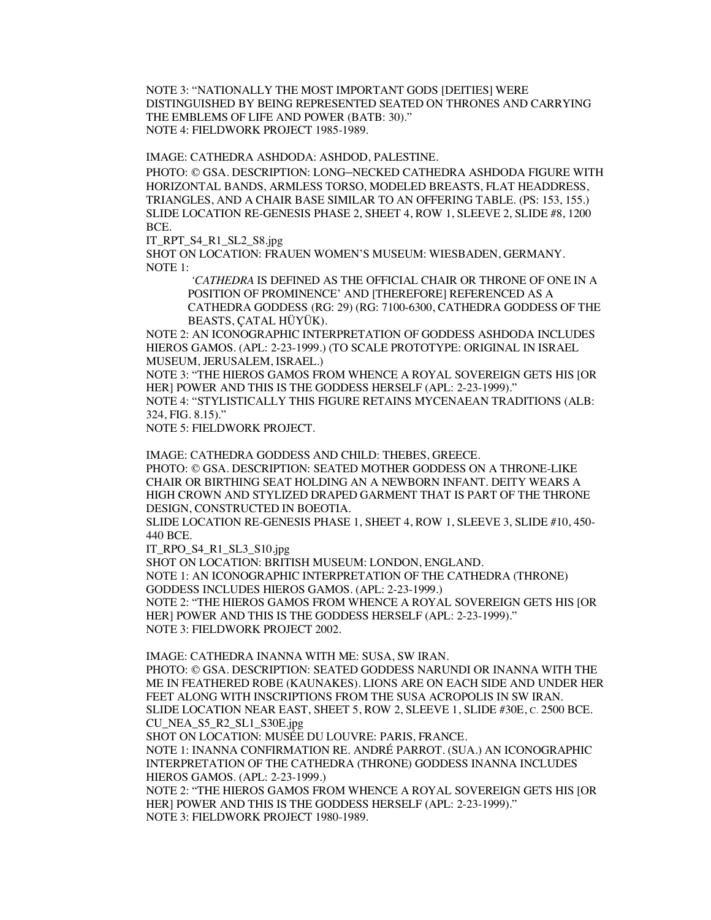NOTE 3: "NATIONALLY THE MOST IMPORTANT GODS [DEITIES] WERE DISTINGUISHED BY BEING REPRESENTED SEATED ON THRONES AND CARRYING THE EMBLEMS OF LIFE AND POWER (BATB: 30)." NOTE 4: FIELDWORK PROJECT 1985-1989.

IMAGE: CATHEDRA ASHDODA: ASHDOD, PALESTINE.

PHOTO: © GSA. DESCRIPTION: LONG–NECKED CATHEDRA ASHDODA FIGURE WITH HORIZONTAL BANDS, ARMLESS TORSO, MODELED BREASTS, FLAT HEADDRESS, TRIANGLES, AND A CHAIR BASE SIMILAR TO AN OFFERING TABLE. (PS: 153, 155.) SLIDE LOCATION RE-GENESIS PHASE 2, SHEET 4, ROW 1, SLEEVE 2, SLIDE #8, 1200 BCE.

IT\_RPT\_S4\_R1\_SL2\_S8.jpg

SHOT ON LOCATION: FRAUEN WOMEN'S MUSEUM: WIESBADEN, GERMANY. NOTE 1:

*'CATHEDRA* IS DEFINED AS THE OFFICIAL CHAIR OR THRONE OF ONE IN A POSITION OF PROMINENCE' AND [THEREFORE] REFERENCED AS A CATHEDRA GODDESS (RG: 29) (RG: 7100-6300, CATHEDRA GODDESS OF THE BEASTS, ÇATAL HÜYÜK).

NOTE 2: AN ICONOGRAPHIC INTERPRETATION OF GODDESS ASHDODA INCLUDES HIEROS GAMOS. (APL: 2-23-1999.) (TO SCALE PROTOTYPE: ORIGINAL IN ISRAEL MUSEUM, JERUSALEM, ISRAEL.)

NOTE 3: "THE HIEROS GAMOS FROM WHENCE A ROYAL SOVEREIGN GETS HIS [OR HER] POWER AND THIS IS THE GODDESS HERSELF (APL: 2-23-1999)."

NOTE 4: "STYLISTICALLY THIS FIGURE RETAINS MYCENAEAN TRADITIONS (ALB: 324, FIG. 8.15)."

NOTE 5: FIELDWORK PROJECT.

IMAGE: CATHEDRA GODDESS AND CHILD: THEBES, GREECE. PHOTO: © GSA. DESCRIPTION: SEATED MOTHER GODDESS ON A THRONE-LIKE CHAIR OR BIRTHING SEAT HOLDING AN A NEWBORN INFANT. DEITY WEARS A HIGH CROWN AND STYLIZED DRAPED GARMENT THAT IS PART OF THE THRONE DESIGN, CONSTRUCTED IN BOEOTIA.

SLIDE LOCATION RE-GENESIS PHASE 1, SHEET 4, ROW 1, SLEEVE 3, SLIDE #10, 450- 440 BCE.

IT\_RPO\_S4\_R1\_SL3\_S10.jpg

SHOT ON LOCATION: BRITISH MUSEUM: LONDON, ENGLAND. NOTE 1: AN ICONOGRAPHIC INTERPRETATION OF THE CATHEDRA (THRONE) GODDESS INCLUDES HIEROS GAMOS. (APL: 2-23-1999.) NOTE 2: "THE HIEROS GAMOS FROM WHENCE A ROYAL SOVEREIGN GETS HIS [OR HER] POWER AND THIS IS THE GODDESS HERSELF (APL: 2-23-1999)." NOTE 3: FIELDWORK PROJECT 2002.

IMAGE: CATHEDRA INANNA WITH ME: SUSA, SW IRAN. PHOTO: © GSA. DESCRIPTION: SEATED GODDESS NARUNDI OR INANNA WITH THE ME IN FEATHERED ROBE (KAUNAKES). LIONS ARE ON EACH SIDE AND UNDER HER FEET ALONG WITH INSCRIPTIONS FROM THE SUSA ACROPOLIS IN SW IRAN. SLIDE LOCATION NEAR EAST, SHEET 5, ROW 2, SLEEVE 1, SLIDE #30E, C. 2500 BCE. CU\_NEA\_S5\_R2\_SL1\_S30E.jpg

SHOT ON LOCATION: MUSÉE DU LOUVRE: PARIS, FRANCE.

NOTE 1: INANNA CONFIRMATION RE. ANDRÉ PARROT. (SUA.) AN ICONOGRAPHIC INTERPRETATION OF THE CATHEDRA (THRONE) GODDESS INANNA INCLUDES HIEROS GAMOS. (APL: 2-23-1999.)

NOTE 2: "THE HIEROS GAMOS FROM WHENCE A ROYAL SOVEREIGN GETS HIS [OR HER] POWER AND THIS IS THE GODDESS HERSELF (APL: 2-23-1999)." NOTE 3: FIELDWORK PROJECT 1980-1989.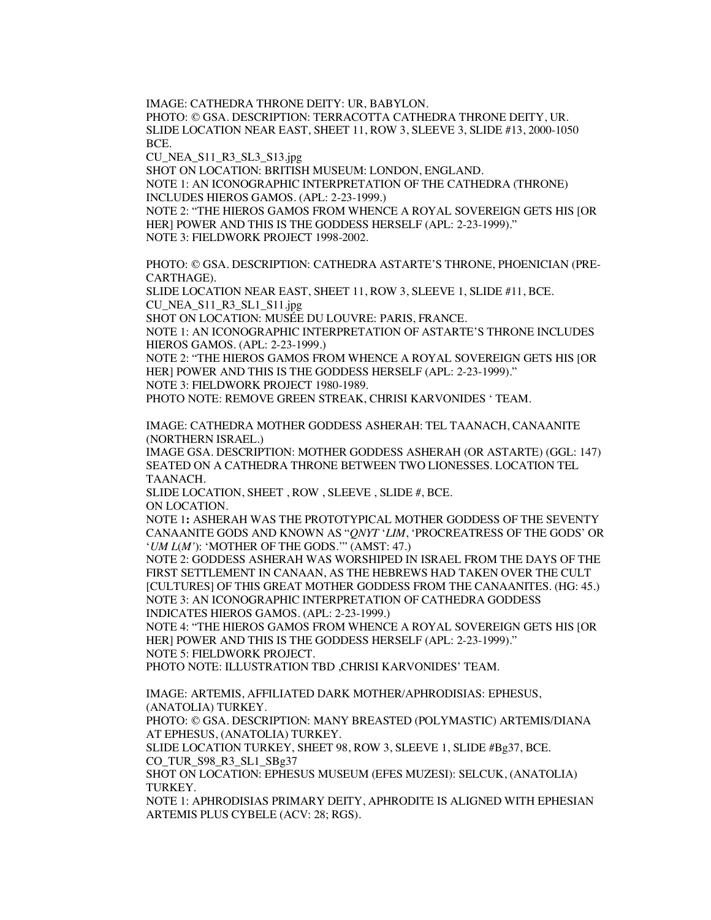IMAGE: CATHEDRA THRONE DEITY: UR, BABYLON.

PHOTO: © GSA. DESCRIPTION: TERRACOTTA CATHEDRA THRONE DEITY, UR. SLIDE LOCATION NEAR EAST, SHEET 11, ROW 3, SLEEVE 3, SLIDE #13, 2000-1050 BCE.

CU\_NEA\_S11\_R3\_SL3\_S13.jpg

SHOT ON LOCATION: BRITISH MUSEUM: LONDON, ENGLAND.

NOTE 1: AN ICONOGRAPHIC INTERPRETATION OF THE CATHEDRA (THRONE) INCLUDES HIEROS GAMOS. (APL: 2-23-1999.)

NOTE 2: "THE HIEROS GAMOS FROM WHENCE A ROYAL SOVEREIGN GETS HIS [OR HER] POWER AND THIS IS THE GODDESS HERSELF (APL: 2-23-1999)." NOTE 3: FIELDWORK PROJECT 1998-2002.

PHOTO: © GSA. DESCRIPTION: CATHEDRA ASTARTE'S THRONE, PHOENICIAN (PRE-CARTHAGE).

SLIDE LOCATION NEAR EAST, SHEET 11, ROW 3, SLEEVE 1, SLIDE #11, BCE. CU\_NEA\_S11\_R3\_SL1\_S11.jpg

SHOT ON LOCATION: MUSÉE DU LOUVRE: PARIS, FRANCE.

NOTE 1: AN ICONOGRAPHIC INTERPRETATION OF ASTARTE'S THRONE INCLUDES HIEROS GAMOS. (APL: 2-23-1999.)

NOTE 2: "THE HIEROS GAMOS FROM WHENCE A ROYAL SOVEREIGN GETS HIS [OR HER] POWER AND THIS IS THE GODDESS HERSELF (APL: 2-23-1999)." NOTE 3: FIELDWORK PROJECT 1980-1989.

PHOTO NOTE: REMOVE GREEN STREAK, CHRISI KARVONIDES ' TEAM.

IMAGE: CATHEDRA MOTHER GODDESS ASHERAH: TEL TAANACH, CANAANITE (NORTHERN ISRAEL.)

IMAGE GSA. DESCRIPTION: MOTHER GODDESS ASHERAH (OR ASTARTE) (GGL: 147) SEATED ON A CATHEDRA THRONE BETWEEN TWO LIONESSES. LOCATION TEL TAANACH.

SLIDE LOCATION, SHEET , ROW , SLEEVE , SLIDE #, BCE. ON LOCATION.

NOTE 1**:** ASHERAH WAS THE PROTOTYPICAL MOTHER GODDESS OF THE SEVENTY CANAANITE GODS AND KNOWN AS "*QNYT* '*LIM*, 'PROCREATRESS OF THE GODS' OR '*UM L*(*M'*): 'MOTHER OF THE GODS.'" (AMST: 47.)

NOTE 2: GODDESS ASHERAH WAS WORSHIPED IN ISRAEL FROM THE DAYS OF THE FIRST SETTLEMENT IN CANAAN, AS THE HEBREWS HAD TAKEN OVER THE CULT [CULTURES] OF THIS GREAT MOTHER GODDESS FROM THE CANAANITES. (HG: 45.) NOTE 3: AN ICONOGRAPHIC INTERPRETATION OF CATHEDRA GODDESS INDICATES HIEROS GAMOS. (APL: 2-23-1999.)

NOTE 4: "THE HIEROS GAMOS FROM WHENCE A ROYAL SOVEREIGN GETS HIS [OR HER] POWER AND THIS IS THE GODDESS HERSELF (APL: 2-23-1999)." NOTE 5: FIELDWORK PROJECT.

PHOTO NOTE: ILLUSTRATION TBD ,CHRISI KARVONIDES' TEAM.

IMAGE: ARTEMIS, AFFILIATED DARK MOTHER/APHRODISIAS: EPHESUS, (ANATOLIA) TURKEY.

PHOTO: © GSA. DESCRIPTION: MANY BREASTED (POLYMASTIC) ARTEMIS/DIANA AT EPHESUS, (ANATOLIA) TURKEY.

SLIDE LOCATION TURKEY, SHEET 98, ROW 3, SLEEVE 1, SLIDE #Bg37, BCE. CO\_TUR\_S98\_R3\_SL1\_SBg37

SHOT ON LOCATION: EPHESUS MUSEUM (EFES MUZESI): SELCUK, (ANATOLIA) TURKEY.

NOTE 1: APHRODISIAS PRIMARY DEITY, APHRODITE IS ALIGNED WITH EPHESIAN ARTEMIS PLUS CYBELE (ACV: 28; RGS).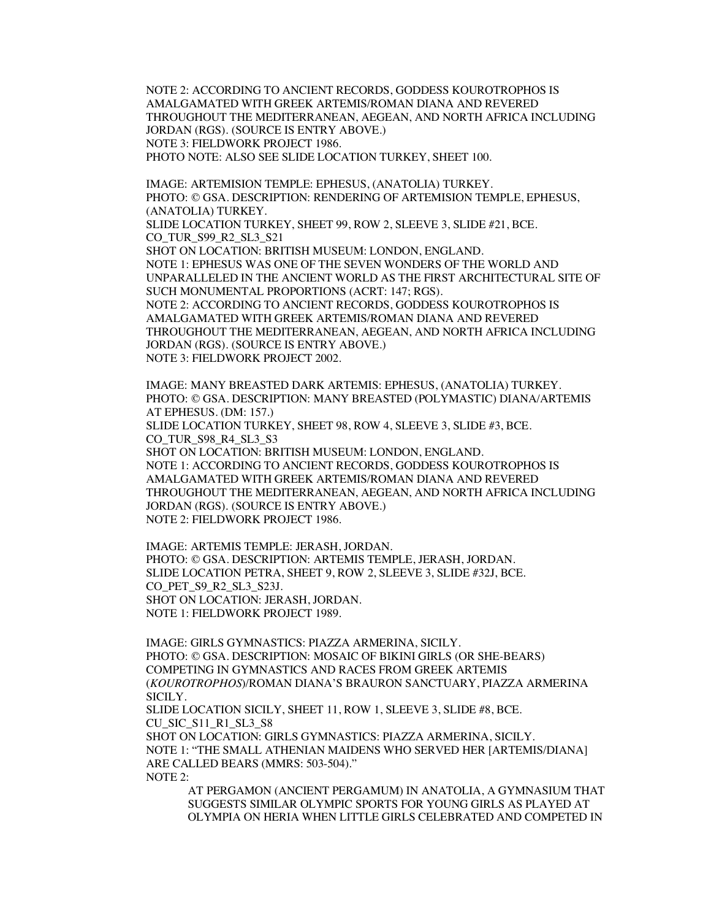NOTE 2: ACCORDING TO ANCIENT RECORDS, GODDESS KOUROTROPHOS IS AMALGAMATED WITH GREEK ARTEMIS/ROMAN DIANA AND REVERED THROUGHOUT THE MEDITERRANEAN, AEGEAN, AND NORTH AFRICA INCLUDING JORDAN (RGS). (SOURCE IS ENTRY ABOVE.) NOTE 3: FIELDWORK PROJECT 1986. PHOTO NOTE: ALSO SEE SLIDE LOCATION TURKEY, SHEET 100.

IMAGE: ARTEMISION TEMPLE: EPHESUS, (ANATOLIA) TURKEY. PHOTO: © GSA. DESCRIPTION: RENDERING OF ARTEMISION TEMPLE, EPHESUS, (ANATOLIA) TURKEY. SLIDE LOCATION TURKEY, SHEET 99, ROW 2, SLEEVE 3, SLIDE #21, BCE. CO\_TUR\_S99\_R2\_SL3\_S21 SHOT ON LOCATION: BRITISH MUSEUM: LONDON, ENGLAND. NOTE 1: EPHESUS WAS ONE OF THE SEVEN WONDERS OF THE WORLD AND UNPARALLELED IN THE ANCIENT WORLD AS THE FIRST ARCHITECTURAL SITE OF SUCH MONUMENTAL PROPORTIONS (ACRT: 147; RGS). NOTE 2: ACCORDING TO ANCIENT RECORDS, GODDESS KOUROTROPHOS IS AMALGAMATED WITH GREEK ARTEMIS/ROMAN DIANA AND REVERED

THROUGHOUT THE MEDITERRANEAN, AEGEAN, AND NORTH AFRICA INCLUDING JORDAN (RGS). (SOURCE IS ENTRY ABOVE.) NOTE 3: FIELDWORK PROJECT 2002.

IMAGE: MANY BREASTED DARK ARTEMIS: EPHESUS, (ANATOLIA) TURKEY. PHOTO: © GSA. DESCRIPTION: MANY BREASTED (POLYMASTIC) DIANA/ARTEMIS AT EPHESUS. (DM: 157.)

SLIDE LOCATION TURKEY, SHEET 98, ROW 4, SLEEVE 3, SLIDE #3, BCE. CO TUR S98 R4 SL3 S3

SHOT ON LOCATION: BRITISH MUSEUM: LONDON, ENGLAND. NOTE 1: ACCORDING TO ANCIENT RECORDS, GODDESS KOUROTROPHOS IS AMALGAMATED WITH GREEK ARTEMIS/ROMAN DIANA AND REVERED THROUGHOUT THE MEDITERRANEAN, AEGEAN, AND NORTH AFRICA INCLUDING JORDAN (RGS). (SOURCE IS ENTRY ABOVE.) NOTE 2: FIELDWORK PROJECT 1986.

IMAGE: ARTEMIS TEMPLE: JERASH, JORDAN. PHOTO: © GSA. DESCRIPTION: ARTEMIS TEMPLE, JERASH, JORDAN. SLIDE LOCATION PETRA, SHEET 9, ROW 2, SLEEVE 3, SLIDE #32J, BCE. CO\_PET\_S9\_R2\_SL3\_S23J. SHOT ON LOCATION: JERASH, JORDAN. NOTE 1: FIELDWORK PROJECT 1989.

IMAGE: GIRLS GYMNASTICS: PIAZZA ARMERINA, SICILY. PHOTO: © GSA. DESCRIPTION: MOSAIC OF BIKINI GIRLS (OR SHE-BEARS) COMPETING IN GYMNASTICS AND RACES FROM GREEK ARTEMIS (*KOUROTROPHOS*)/ROMAN DIANA'S BRAURON SANCTUARY, PIAZZA ARMERINA SICILY.

SLIDE LOCATION SICILY, SHEET 11, ROW 1, SLEEVE 3, SLIDE #8, BCE. CU\_SIC\_S11\_R1\_SL3\_S8 SHOT ON LOCATION: GIRLS GYMNASTICS: PIAZZA ARMERINA, SICILY. NOTE 1: "THE SMALL ATHENIAN MAIDENS WHO SERVED HER [ARTEMIS/DIANA] ARE CALLED BEARS (MMRS: 503-504)."

NOTE 2:

AT PERGAMON (ANCIENT PERGAMUM) IN ANATOLIA, A GYMNASIUM THAT SUGGESTS SIMILAR OLYMPIC SPORTS FOR YOUNG GIRLS AS PLAYED AT OLYMPIA ON HERIA WHEN LITTLE GIRLS CELEBRATED AND COMPETED IN